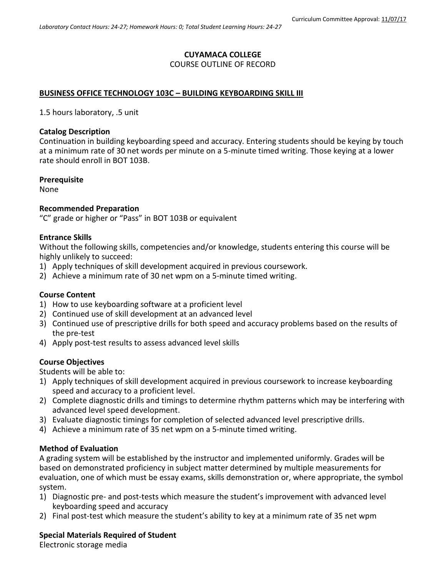# **CUYAMACA COLLEGE**

# COURSE OUTLINE OF RECORD

### **BUSINESS OFFICE TECHNOLOGY 103C – BUILDING KEYBOARDING SKILL III**

1.5 hours laboratory, .5 unit

### **Catalog Description**

Continuation in building keyboarding speed and accuracy. Entering students should be keying by touch at a minimum rate of 30 net words per minute on a 5-minute timed writing. Those keying at a lower rate should enroll in BOT 103B.

### **Prerequisite**

None

### **Recommended Preparation**

"C" grade or higher or "Pass" in BOT 103B or equivalent

### **Entrance Skills**

Without the following skills, competencies and/or knowledge, students entering this course will be highly unlikely to succeed:

- 1) Apply techniques of skill development acquired in previous coursework.
- 2) Achieve a minimum rate of 30 net wpm on a 5-minute timed writing.

# **Course Content**

- 1) How to use keyboarding software at a proficient level
- 2) Continued use of skill development at an advanced level
- 3) Continued use of prescriptive drills for both speed and accuracy problems based on the results of the pre-test
- 4) Apply post-test results to assess advanced level skills

# **Course Objectives**

Students will be able to:

- 1) Apply techniques of skill development acquired in previous coursework to increase keyboarding speed and accuracy to a proficient level.
- 2) Complete diagnostic drills and timings to determine rhythm patterns which may be interfering with advanced level speed development.
- 3) Evaluate diagnostic timings for completion of selected advanced level prescriptive drills.
- 4) Achieve a minimum rate of 35 net wpm on a 5-minute timed writing.

# **Method of Evaluation**

A grading system will be established by the instructor and implemented uniformly. Grades will be based on demonstrated proficiency in subject matter determined by multiple measurements for evaluation, one of which must be essay exams, skills demonstration or, where appropriate, the symbol system.

- 1) Diagnostic pre- and post-tests which measure the student's improvement with advanced level keyboarding speed and accuracy
- 2) Final post-test which measure the student's ability to key at a minimum rate of 35 net wpm

# **Special Materials Required of Student**

Electronic storage media